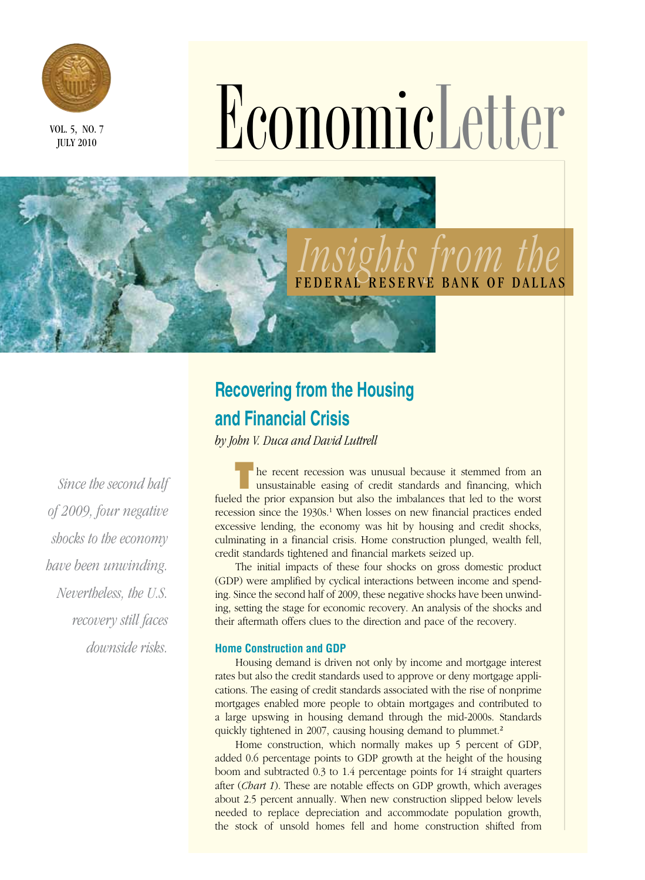

JULY 2010

# VOL.5, NO.7<br>VOL.5, NO.7

# *Insights from the*  BANK OF DALLAS

*Since the second half of 2009, four negative shocks to the economy have been unwinding. Nevertheless, the U.S. recovery still faces downside risks.*

# **Recovering from the Housing and Financial Crisis**

*by John V. Duca and David Luttrell*

he recent recession was unusual because it stemmed from an unsustainable easing of credit standards and financing, which fueled the prior expansion but also the imbalances that led to the worst recession since the 1930s.<sup>1</sup> When losses on new financial practices ended excessive lending, the economy was hit by housing and credit shocks, culminating in a financial crisis. Home construction plunged, wealth fell, credit standards tightened and financial markets seized up.

The initial impacts of these four shocks on gross domestic product (GDP) were amplified by cyclical interactions between income and spending. Since the second half of 2009, these negative shocks have been unwinding, setting the stage for economic recovery. An analysis of the shocks and their aftermath offers clues to the direction and pace of the recovery.

### **Home Construction and GDP**

Housing demand is driven not only by income and mortgage interest rates but also the credit standards used to approve or deny mortgage applications. The easing of credit standards associated with the rise of nonprime mortgages enabled more people to obtain mortgages and contributed to a large upswing in housing demand through the mid-2000s. Standards quickly tightened in 2007, causing housing demand to plummet.<sup>2</sup>

Home construction, which normally makes up 5 percent of GDP, added 0.6 percentage points to GDP growth at the height of the housing boom and subtracted 0.3 to 1.4 percentage points for 14 straight quarters after (*Chart 1*). These are notable effects on GDP growth, which averages about 2.5 percent annually. When new construction slipped below levels needed to replace depreciation and accommodate population growth, the stock of unsold homes fell and home construction shifted from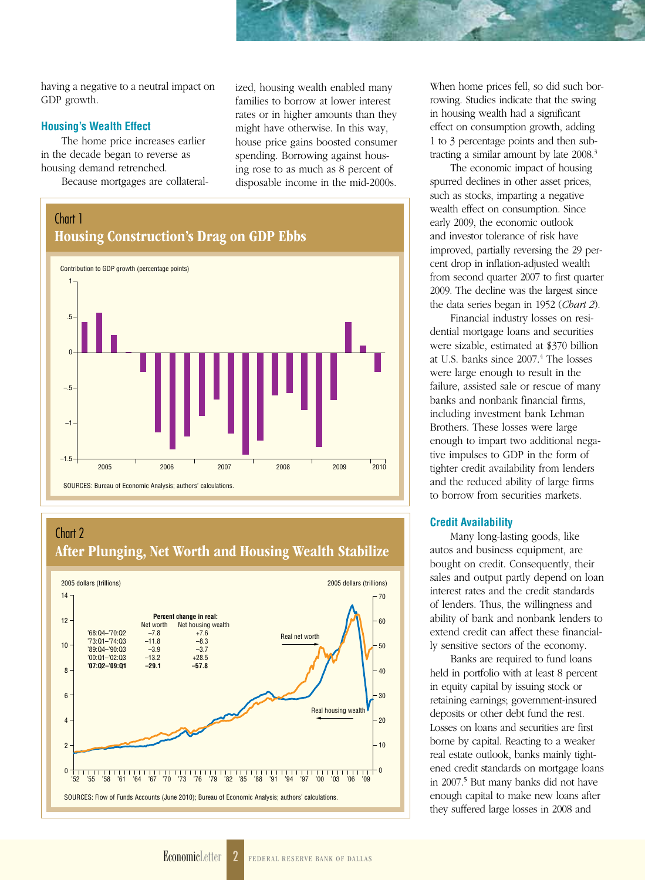having a negative to a neutral impact on GDP growth.

#### **Housing's Wealth Effect**

The home price increases earlier in the decade began to reverse as housing demand retrenched.

Because mortgages are collateral-

ized, housing wealth enabled many families to borrow at lower interest rates or in higher amounts than they might have otherwise. In this way, house price gains boosted consumer spending. Borrowing against housing rose to as much as 8 percent of disposable income in the mid-2000s.



## Chart 2 After Plunging, Net Worth and Housing Wealth Stabilize



When home prices fell, so did such borrowing. Studies indicate that the swing in housing wealth had a significant effect on consumption growth, adding 1 to 3 percentage points and then subtracting a similar amount by late 2008.3

The economic impact of housing spurred declines in other asset prices, such as stocks, imparting a negative wealth effect on consumption. Since early 2009, the economic outlook and investor tolerance of risk have improved, partially reversing the 29 percent drop in inflation-adjusted wealth from second quarter 2007 to first quarter 2009. The decline was the largest since the data series began in 1952 (*Chart 2*).

Financial industry losses on residential mortgage loans and securities were sizable, estimated at \$370 billion at U.S. banks since 2007.<sup>4</sup> The losses were large enough to result in the failure, assisted sale or rescue of many banks and nonbank financial firms, including investment bank Lehman Brothers. These losses were large enough to impart two additional negative impulses to GDP in the form of tighter credit availability from lenders and the reduced ability of large firms to borrow from securities markets.

#### **Credit Availability**

Many long-lasting goods, like autos and business equipment, are bought on credit. Consequently, their sales and output partly depend on loan interest rates and the credit standards of lenders. Thus, the willingness and ability of bank and nonbank lenders to extend credit can affect these financially sensitive sectors of the economy.

Banks are required to fund loans held in portfolio with at least 8 percent in equity capital by issuing stock or retaining earnings; government-insured deposits or other debt fund the rest. Losses on loans and securities are first borne by capital. Reacting to a weaker real estate outlook, banks mainly tightened credit standards on mortgage loans in 2007.<sup>5</sup> But many banks did not have enough capital to make new loans after they suffered large losses in 2008 and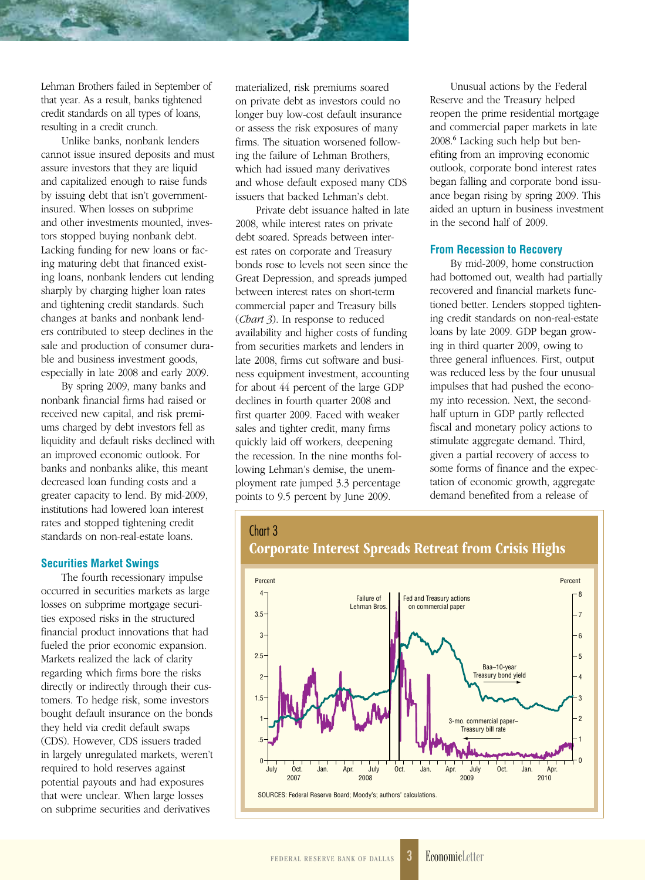Lehman Brothers failed in September of that year. As a result, banks tightened credit standards on all types of loans, resulting in a credit crunch.

Unlike banks, nonbank lenders cannot issue insured deposits and must assure investors that they are liquid and capitalized enough to raise funds by issuing debt that isn't governmentinsured. When losses on subprime and other investments mounted, investors stopped buying nonbank debt. Lacking funding for new loans or facing maturing debt that financed existing loans, nonbank lenders cut lending sharply by charging higher loan rates and tightening credit standards. Such changes at banks and nonbank lenders contributed to steep declines in the sale and production of consumer durable and business investment goods, especially in late 2008 and early 2009.

By spring 2009, many banks and nonbank financial firms had raised or received new capital, and risk premiums charged by debt investors fell as liquidity and default risks declined with an improved economic outlook. For banks and nonbanks alike, this meant decreased loan funding costs and a greater capacity to lend. By mid-2009, institutions had lowered loan interest rates and stopped tightening credit standards on non-real-estate loans.

#### **Securities Market Swings**

The fourth recessionary impulse occurred in securities markets as large losses on subprime mortgage securities exposed risks in the structured financial product innovations that had fueled the prior economic expansion. Markets realized the lack of clarity regarding which firms bore the risks directly or indirectly through their customers. To hedge risk, some investors bought default insurance on the bonds they held via credit default swaps (CDS). However, CDS issuers traded in largely unregulated markets, weren't required to hold reserves against potential payouts and had exposures that were unclear. When large losses on subprime securities and derivatives

materialized, risk premiums soared on private debt as investors could no longer buy low-cost default insurance or assess the risk exposures of many firms. The situation worsened following the failure of Lehman Brothers, which had issued many derivatives and whose default exposed many CDS issuers that backed Lehman's debt.

Private debt issuance halted in late 2008, while interest rates on private debt soared. Spreads between interest rates on corporate and Treasury bonds rose to levels not seen since the Great Depression, and spreads jumped between interest rates on short-term commercial paper and Treasury bills (*Chart 3*). In response to reduced availability and higher costs of funding from securities markets and lenders in late 2008, firms cut software and business equipment investment, accounting for about 44 percent of the large GDP declines in fourth quarter 2008 and first quarter 2009. Faced with weaker sales and tighter credit, many firms quickly laid off workers, deepening the recession. In the nine months following Lehman's demise, the unemployment rate jumped 3.3 percentage points to 9.5 percent by June 2009.

Chart 3

Unusual actions by the Federal Reserve and the Treasury helped reopen the prime residential mortgage and commercial paper markets in late 2008.<sup>6</sup> Lacking such help but benefiting from an improving economic outlook, corporate bond interest rates began falling and corporate bond issuance began rising by spring 2009. This aided an upturn in business investment in the second half of 2009.

#### **From Recession to Recovery**

By mid-2009, home construction had bottomed out, wealth had partially recovered and financial markets functioned better. Lenders stopped tightening credit standards on non-real-estate loans by late 2009. GDP began growing in third quarter 2009, owing to three general influences. First, output was reduced less by the four unusual impulses that had pushed the economy into recession. Next, the secondhalf upturn in GDP partly reflected fiscal and monetary policy actions to stimulate aggregate demand. Third, given a partial recovery of access to some forms of finance and the expectation of economic growth, aggregate demand benefited from a release of



## Corporate Interest Spreads Retreat from Crisis Highs